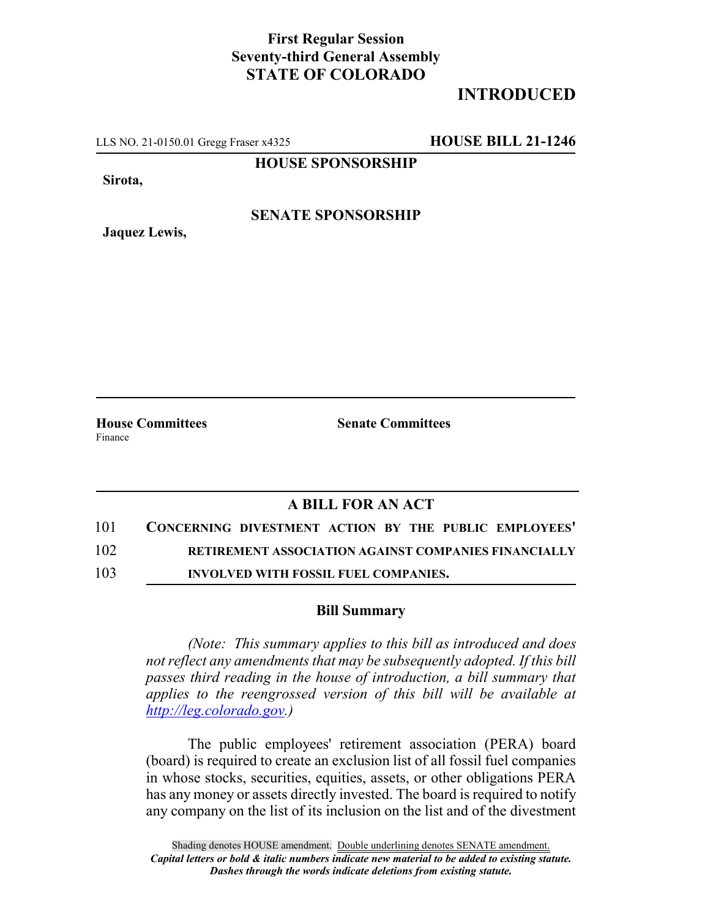## **First Regular Session Seventy-third General Assembly STATE OF COLORADO**

## **INTRODUCED**

LLS NO. 21-0150.01 Gregg Fraser x4325 **HOUSE BILL 21-1246**

**HOUSE SPONSORSHIP**

**Sirota,**

**SENATE SPONSORSHIP**

**Jaquez Lewis,**

**House Committees Senate Committees** Finance

## **A BILL FOR AN ACT**

- 101 **CONCERNING DIVESTMENT ACTION BY THE PUBLIC EMPLOYEES'** 102 **RETIREMENT ASSOCIATION AGAINST COMPANIES FINANCIALLY**
- 103 **INVOLVED WITH FOSSIL FUEL COMPANIES.**

## **Bill Summary**

*(Note: This summary applies to this bill as introduced and does not reflect any amendments that may be subsequently adopted. If this bill passes third reading in the house of introduction, a bill summary that applies to the reengrossed version of this bill will be available at http://leg.colorado.gov.)*

The public employees' retirement association (PERA) board (board) is required to create an exclusion list of all fossil fuel companies in whose stocks, securities, equities, assets, or other obligations PERA has any money or assets directly invested. The board is required to notify any company on the list of its inclusion on the list and of the divestment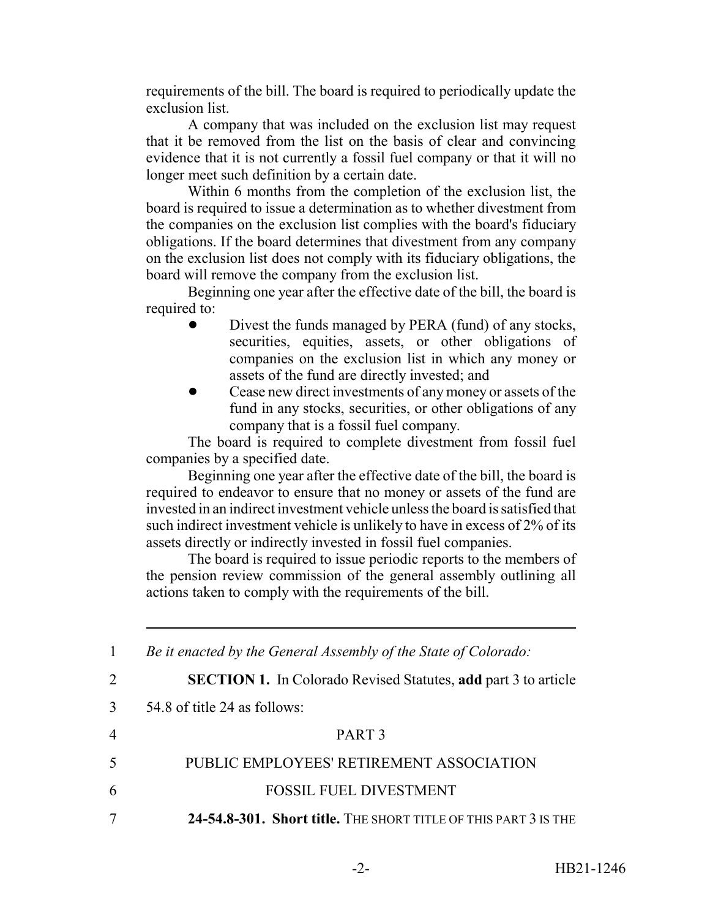requirements of the bill. The board is required to periodically update the exclusion list.

A company that was included on the exclusion list may request that it be removed from the list on the basis of clear and convincing evidence that it is not currently a fossil fuel company or that it will no longer meet such definition by a certain date.

Within 6 months from the completion of the exclusion list, the board is required to issue a determination as to whether divestment from the companies on the exclusion list complies with the board's fiduciary obligations. If the board determines that divestment from any company on the exclusion list does not comply with its fiduciary obligations, the board will remove the company from the exclusion list.

Beginning one year after the effective date of the bill, the board is required to:

- Divest the funds managed by PERA (fund) of any stocks, securities, equities, assets, or other obligations of companies on the exclusion list in which any money or assets of the fund are directly invested; and
- Cease new direct investments of any money or assets of the fund in any stocks, securities, or other obligations of any company that is a fossil fuel company.

The board is required to complete divestment from fossil fuel companies by a specified date.

Beginning one year after the effective date of the bill, the board is required to endeavor to ensure that no money or assets of the fund are invested in an indirect investment vehicle unless the board is satisfied that such indirect investment vehicle is unlikely to have in excess of 2% of its assets directly or indirectly invested in fossil fuel companies.

The board is required to issue periodic reports to the members of the pension review commission of the general assembly outlining all actions taken to comply with the requirements of the bill.

|                | Be it enacted by the General Assembly of the State of Colorado:       |
|----------------|-----------------------------------------------------------------------|
| 2              | <b>SECTION 1.</b> In Colorado Revised Statutes, add part 3 to article |
| 3              | 54.8 of title 24 as follows:                                          |
| $\overline{4}$ | PART <sub>3</sub>                                                     |
| 5              | PUBLIC EMPLOYEES' RETIREMENT ASSOCIATION                              |
| 6              | <b>FOSSIL FUEL DIVESTMENT</b>                                         |
|                | 24-54.8-301. Short title. THE SHORT TITLE OF THIS PART 3 IS THE       |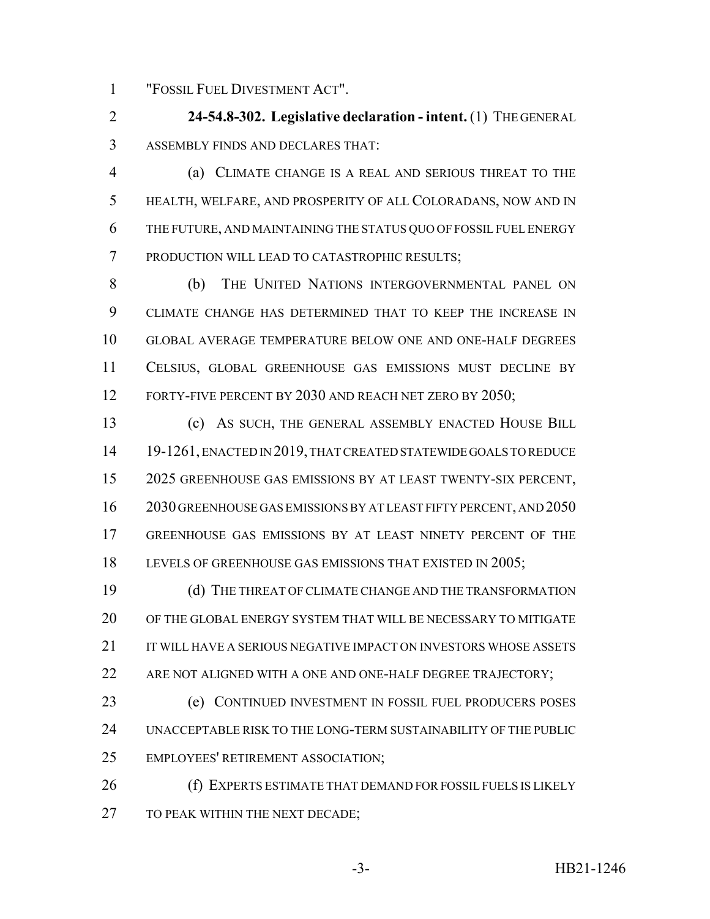"FOSSIL FUEL DIVESTMENT ACT".

 **24-54.8-302. Legislative declaration - intent.** (1) THE GENERAL ASSEMBLY FINDS AND DECLARES THAT:

 (a) CLIMATE CHANGE IS A REAL AND SERIOUS THREAT TO THE HEALTH, WELFARE, AND PROSPERITY OF ALL COLORADANS, NOW AND IN THE FUTURE, AND MAINTAINING THE STATUS QUO OF FOSSIL FUEL ENERGY PRODUCTION WILL LEAD TO CATASTROPHIC RESULTS;

 (b) THE UNITED NATIONS INTERGOVERNMENTAL PANEL ON CLIMATE CHANGE HAS DETERMINED THAT TO KEEP THE INCREASE IN GLOBAL AVERAGE TEMPERATURE BELOW ONE AND ONE-HALF DEGREES CELSIUS, GLOBAL GREENHOUSE GAS EMISSIONS MUST DECLINE BY 12 FORTY-FIVE PERCENT BY 2030 AND REACH NET ZERO BY 2050;

 (c) AS SUCH, THE GENERAL ASSEMBLY ENACTED HOUSE BILL 19-1261, ENACTED IN 2019, THAT CREATED STATEWIDE GOALS TO REDUCE 2025 GREENHOUSE GAS EMISSIONS BY AT LEAST TWENTY-SIX PERCENT, 2030 GREENHOUSE GAS EMISSIONS BY AT LEAST FIFTY PERCENT, AND 2050 GREENHOUSE GAS EMISSIONS BY AT LEAST NINETY PERCENT OF THE 18 LEVELS OF GREENHOUSE GAS EMISSIONS THAT EXISTED IN 2005;

 (d) THE THREAT OF CLIMATE CHANGE AND THE TRANSFORMATION OF THE GLOBAL ENERGY SYSTEM THAT WILL BE NECESSARY TO MITIGATE 21 IT WILL HAVE A SERIOUS NEGATIVE IMPACT ON INVESTORS WHOSE ASSETS 22 ARE NOT ALIGNED WITH A ONE AND ONE-HALF DEGREE TRAJECTORY;

 (e) CONTINUED INVESTMENT IN FOSSIL FUEL PRODUCERS POSES UNACCEPTABLE RISK TO THE LONG-TERM SUSTAINABILITY OF THE PUBLIC EMPLOYEES' RETIREMENT ASSOCIATION;

 (f) EXPERTS ESTIMATE THAT DEMAND FOR FOSSIL FUELS IS LIKELY 27 TO PEAK WITHIN THE NEXT DECADE;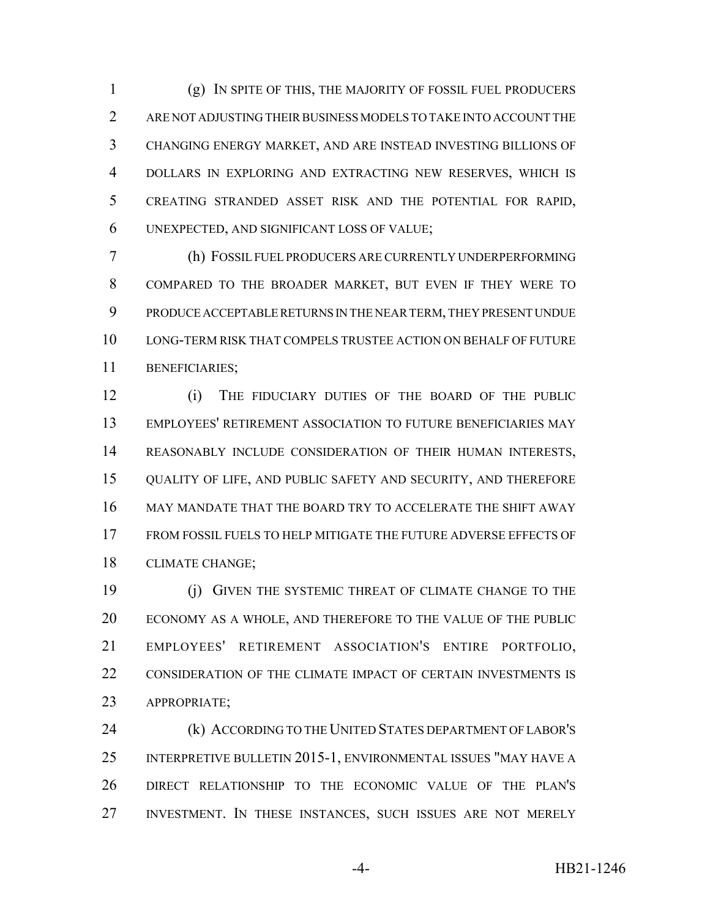(g) IN SPITE OF THIS, THE MAJORITY OF FOSSIL FUEL PRODUCERS ARE NOT ADJUSTING THEIR BUSINESS MODELS TO TAKE INTO ACCOUNT THE CHANGING ENERGY MARKET, AND ARE INSTEAD INVESTING BILLIONS OF DOLLARS IN EXPLORING AND EXTRACTING NEW RESERVES, WHICH IS CREATING STRANDED ASSET RISK AND THE POTENTIAL FOR RAPID, UNEXPECTED, AND SIGNIFICANT LOSS OF VALUE;

 (h) FOSSIL FUEL PRODUCERS ARE CURRENTLY UNDERPERFORMING COMPARED TO THE BROADER MARKET, BUT EVEN IF THEY WERE TO PRODUCE ACCEPTABLE RETURNS IN THE NEAR TERM, THEY PRESENT UNDUE LONG-TERM RISK THAT COMPELS TRUSTEE ACTION ON BEHALF OF FUTURE BENEFICIARIES;

 (i) THE FIDUCIARY DUTIES OF THE BOARD OF THE PUBLIC EMPLOYEES' RETIREMENT ASSOCIATION TO FUTURE BENEFICIARIES MAY REASONABLY INCLUDE CONSIDERATION OF THEIR HUMAN INTERESTS, QUALITY OF LIFE, AND PUBLIC SAFETY AND SECURITY, AND THEREFORE MAY MANDATE THAT THE BOARD TRY TO ACCELERATE THE SHIFT AWAY FROM FOSSIL FUELS TO HELP MITIGATE THE FUTURE ADVERSE EFFECTS OF CLIMATE CHANGE;

 (j) GIVEN THE SYSTEMIC THREAT OF CLIMATE CHANGE TO THE ECONOMY AS A WHOLE, AND THEREFORE TO THE VALUE OF THE PUBLIC EMPLOYEES' RETIREMENT ASSOCIATION'S ENTIRE PORTFOLIO, CONSIDERATION OF THE CLIMATE IMPACT OF CERTAIN INVESTMENTS IS APPROPRIATE;

 (k) ACCORDING TO THE UNITED STATES DEPARTMENT OF LABOR'S INTERPRETIVE BULLETIN 2015-1, ENVIRONMENTAL ISSUES "MAY HAVE A DIRECT RELATIONSHIP TO THE ECONOMIC VALUE OF THE PLAN'S INVESTMENT. IN THESE INSTANCES, SUCH ISSUES ARE NOT MERELY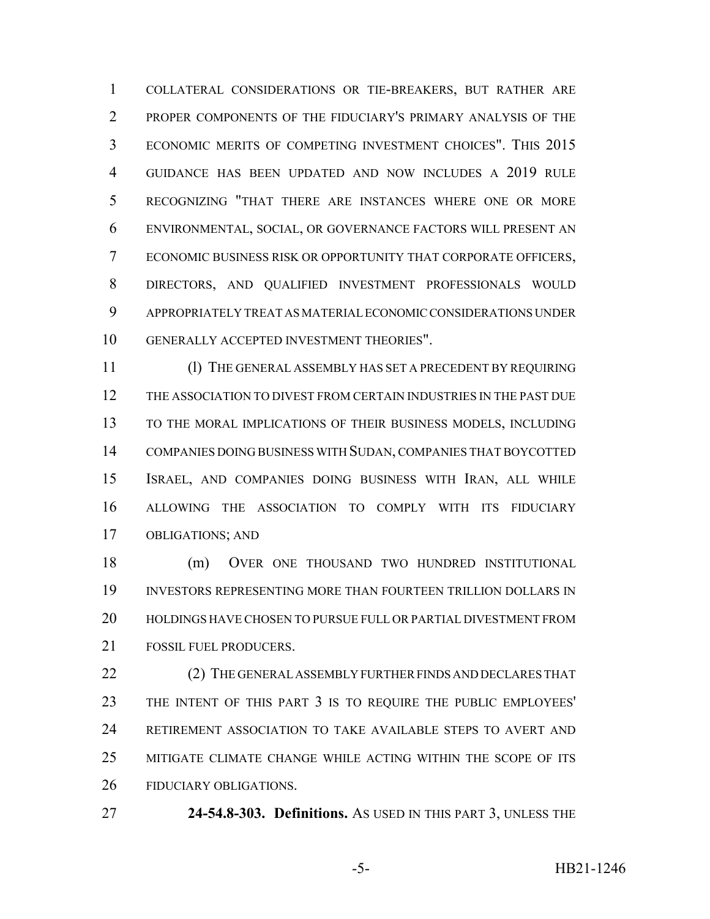COLLATERAL CONSIDERATIONS OR TIE-BREAKERS, BUT RATHER ARE PROPER COMPONENTS OF THE FIDUCIARY'S PRIMARY ANALYSIS OF THE ECONOMIC MERITS OF COMPETING INVESTMENT CHOICES". THIS 2015 GUIDANCE HAS BEEN UPDATED AND NOW INCLUDES A 2019 RULE RECOGNIZING "THAT THERE ARE INSTANCES WHERE ONE OR MORE ENVIRONMENTAL, SOCIAL, OR GOVERNANCE FACTORS WILL PRESENT AN ECONOMIC BUSINESS RISK OR OPPORTUNITY THAT CORPORATE OFFICERS, DIRECTORS, AND QUALIFIED INVESTMENT PROFESSIONALS WOULD APPROPRIATELY TREAT AS MATERIAL ECONOMIC CONSIDERATIONS UNDER GENERALLY ACCEPTED INVESTMENT THEORIES".

 (l) THE GENERAL ASSEMBLY HAS SET A PRECEDENT BY REQUIRING THE ASSOCIATION TO DIVEST FROM CERTAIN INDUSTRIES IN THE PAST DUE TO THE MORAL IMPLICATIONS OF THEIR BUSINESS MODELS, INCLUDING COMPANIES DOING BUSINESS WITH SUDAN, COMPANIES THAT BOYCOTTED ISRAEL, AND COMPANIES DOING BUSINESS WITH IRAN, ALL WHILE ALLOWING THE ASSOCIATION TO COMPLY WITH ITS FIDUCIARY OBLIGATIONS; AND

 (m) OVER ONE THOUSAND TWO HUNDRED INSTITUTIONAL INVESTORS REPRESENTING MORE THAN FOURTEEN TRILLION DOLLARS IN HOLDINGS HAVE CHOSEN TO PURSUE FULL OR PARTIAL DIVESTMENT FROM 21 FOSSIL FUEL PRODUCERS.

22 (2) THE GENERAL ASSEMBLY FURTHER FINDS AND DECLARES THAT THE INTENT OF THIS PART 3 IS TO REQUIRE THE PUBLIC EMPLOYEES' RETIREMENT ASSOCIATION TO TAKE AVAILABLE STEPS TO AVERT AND MITIGATE CLIMATE CHANGE WHILE ACTING WITHIN THE SCOPE OF ITS FIDUCIARY OBLIGATIONS.

**24-54.8-303. Definitions.** AS USED IN THIS PART 3, UNLESS THE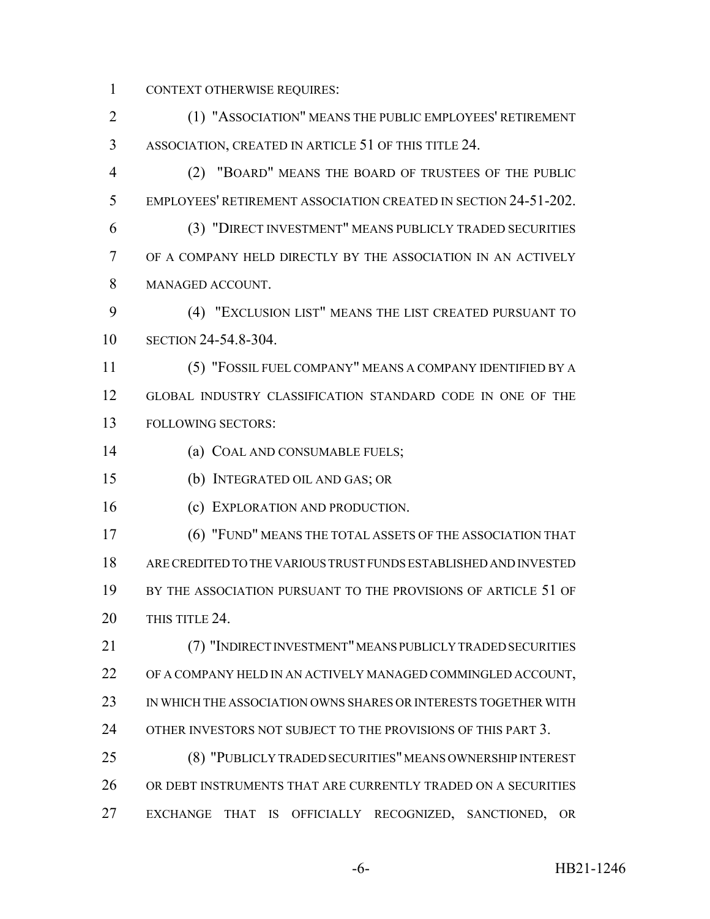CONTEXT OTHERWISE REQUIRES:

 (1) "ASSOCIATION" MEANS THE PUBLIC EMPLOYEES' RETIREMENT ASSOCIATION, CREATED IN ARTICLE 51 OF THIS TITLE 24.

 (2) "BOARD" MEANS THE BOARD OF TRUSTEES OF THE PUBLIC EMPLOYEES' RETIREMENT ASSOCIATION CREATED IN SECTION 24-51-202. (3) "DIRECT INVESTMENT" MEANS PUBLICLY TRADED SECURITIES

 OF A COMPANY HELD DIRECTLY BY THE ASSOCIATION IN AN ACTIVELY MANAGED ACCOUNT.

 (4) "EXCLUSION LIST" MEANS THE LIST CREATED PURSUANT TO SECTION 24-54.8-304.

 (5) "FOSSIL FUEL COMPANY" MEANS A COMPANY IDENTIFIED BY A GLOBAL INDUSTRY CLASSIFICATION STANDARD CODE IN ONE OF THE FOLLOWING SECTORS:

(a) COAL AND CONSUMABLE FUELS;

(b) INTEGRATED OIL AND GAS; OR

16 (c) EXPLORATION AND PRODUCTION.

 (6) "FUND" MEANS THE TOTAL ASSETS OF THE ASSOCIATION THAT ARE CREDITED TO THE VARIOUS TRUST FUNDS ESTABLISHED AND INVESTED BY THE ASSOCIATION PURSUANT TO THE PROVISIONS OF ARTICLE 51 OF 20 THIS TITLE 24.

 (7) "INDIRECT INVESTMENT" MEANS PUBLICLY TRADED SECURITIES OF A COMPANY HELD IN AN ACTIVELY MANAGED COMMINGLED ACCOUNT, IN WHICH THE ASSOCIATION OWNS SHARES OR INTERESTS TOGETHER WITH OTHER INVESTORS NOT SUBJECT TO THE PROVISIONS OF THIS PART 3.

 (8) "PUBLICLY TRADED SECURITIES" MEANS OWNERSHIP INTEREST OR DEBT INSTRUMENTS THAT ARE CURRENTLY TRADED ON A SECURITIES EXCHANGE THAT IS OFFICIALLY RECOGNIZED, SANCTIONED, OR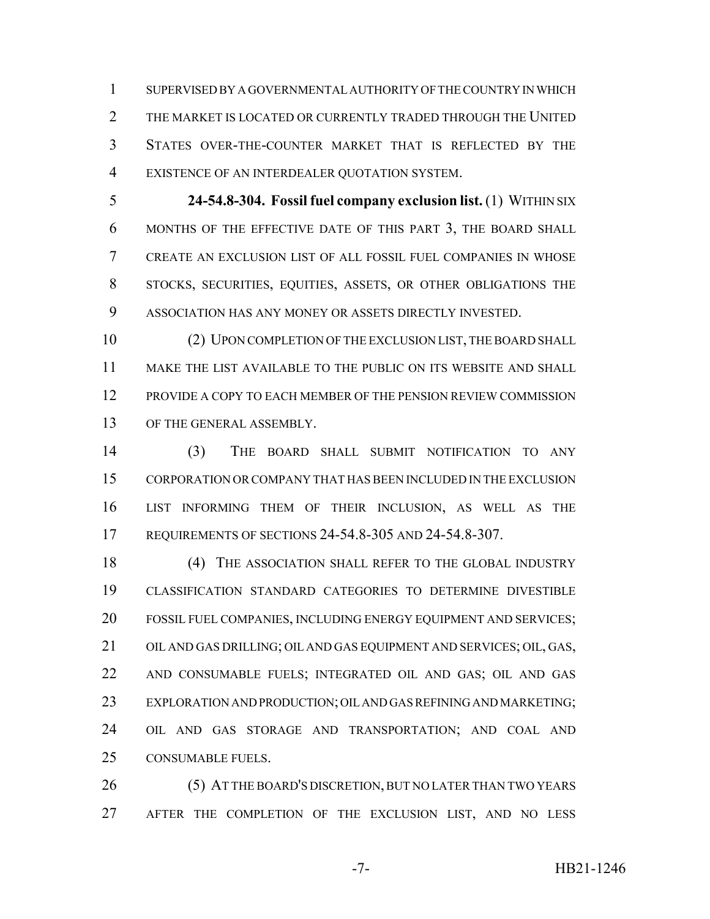SUPERVISED BY A GOVERNMENTAL AUTHORITY OF THE COUNTRY IN WHICH 2 THE MARKET IS LOCATED OR CURRENTLY TRADED THROUGH THE UNITED STATES OVER-THE-COUNTER MARKET THAT IS REFLECTED BY THE EXISTENCE OF AN INTERDEALER QUOTATION SYSTEM.

 **24-54.8-304. Fossil fuel company exclusion list.** (1) WITHIN SIX MONTHS OF THE EFFECTIVE DATE OF THIS PART 3, THE BOARD SHALL CREATE AN EXCLUSION LIST OF ALL FOSSIL FUEL COMPANIES IN WHOSE STOCKS, SECURITIES, EQUITIES, ASSETS, OR OTHER OBLIGATIONS THE ASSOCIATION HAS ANY MONEY OR ASSETS DIRECTLY INVESTED.

 (2) UPON COMPLETION OF THE EXCLUSION LIST, THE BOARD SHALL MAKE THE LIST AVAILABLE TO THE PUBLIC ON ITS WEBSITE AND SHALL PROVIDE A COPY TO EACH MEMBER OF THE PENSION REVIEW COMMISSION OF THE GENERAL ASSEMBLY.

 (3) THE BOARD SHALL SUBMIT NOTIFICATION TO ANY CORPORATION OR COMPANY THAT HAS BEEN INCLUDED IN THE EXCLUSION LIST INFORMING THEM OF THEIR INCLUSION, AS WELL AS THE REQUIREMENTS OF SECTIONS 24-54.8-305 AND 24-54.8-307.

18 (4) THE ASSOCIATION SHALL REFER TO THE GLOBAL INDUSTRY CLASSIFICATION STANDARD CATEGORIES TO DETERMINE DIVESTIBLE FOSSIL FUEL COMPANIES, INCLUDING ENERGY EQUIPMENT AND SERVICES; OIL AND GAS DRILLING; OIL AND GAS EQUIPMENT AND SERVICES; OIL, GAS, AND CONSUMABLE FUELS; INTEGRATED OIL AND GAS; OIL AND GAS EXPLORATION AND PRODUCTION; OIL AND GAS REFINING AND MARKETING; OIL AND GAS STORAGE AND TRANSPORTATION; AND COAL AND CONSUMABLE FUELS.

 (5) AT THE BOARD'S DISCRETION, BUT NO LATER THAN TWO YEARS AFTER THE COMPLETION OF THE EXCLUSION LIST, AND NO LESS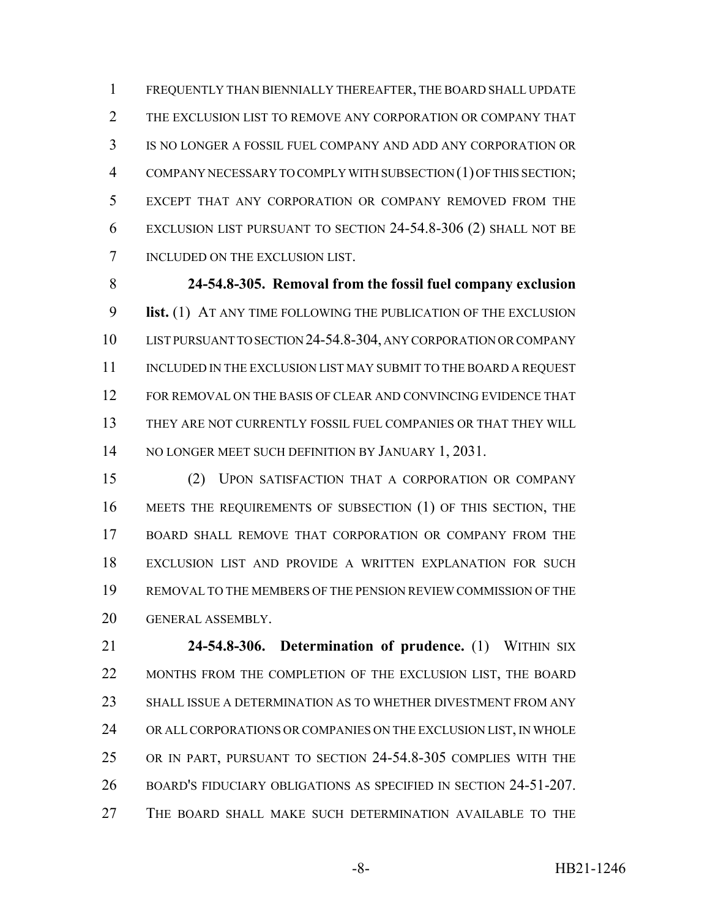FREQUENTLY THAN BIENNIALLY THEREAFTER, THE BOARD SHALL UPDATE THE EXCLUSION LIST TO REMOVE ANY CORPORATION OR COMPANY THAT IS NO LONGER A FOSSIL FUEL COMPANY AND ADD ANY CORPORATION OR COMPANY NECESSARY TO COMPLY WITH SUBSECTION (1) OF THIS SECTION; EXCEPT THAT ANY CORPORATION OR COMPANY REMOVED FROM THE EXCLUSION LIST PURSUANT TO SECTION 24-54.8-306 (2) SHALL NOT BE INCLUDED ON THE EXCLUSION LIST.

 **24-54.8-305. Removal from the fossil fuel company exclusion list.** (1) AT ANY TIME FOLLOWING THE PUBLICATION OF THE EXCLUSION LIST PURSUANT TO SECTION 24-54.8-304, ANY CORPORATION OR COMPANY 11 INCLUDED IN THE EXCLUSION LIST MAY SUBMIT TO THE BOARD A REQUEST FOR REMOVAL ON THE BASIS OF CLEAR AND CONVINCING EVIDENCE THAT THEY ARE NOT CURRENTLY FOSSIL FUEL COMPANIES OR THAT THEY WILL 14 NO LONGER MEET SUCH DEFINITION BY JANUARY 1, 2031.

 (2) UPON SATISFACTION THAT A CORPORATION OR COMPANY MEETS THE REQUIREMENTS OF SUBSECTION (1) OF THIS SECTION, THE BOARD SHALL REMOVE THAT CORPORATION OR COMPANY FROM THE EXCLUSION LIST AND PROVIDE A WRITTEN EXPLANATION FOR SUCH REMOVAL TO THE MEMBERS OF THE PENSION REVIEW COMMISSION OF THE GENERAL ASSEMBLY.

 **24-54.8-306. Determination of prudence.** (1) WITHIN SIX 22 MONTHS FROM THE COMPLETION OF THE EXCLUSION LIST, THE BOARD SHALL ISSUE A DETERMINATION AS TO WHETHER DIVESTMENT FROM ANY OR ALL CORPORATIONS OR COMPANIES ON THE EXCLUSION LIST, IN WHOLE OR IN PART, PURSUANT TO SECTION 24-54.8-305 COMPLIES WITH THE BOARD'S FIDUCIARY OBLIGATIONS AS SPECIFIED IN SECTION 24-51-207. THE BOARD SHALL MAKE SUCH DETERMINATION AVAILABLE TO THE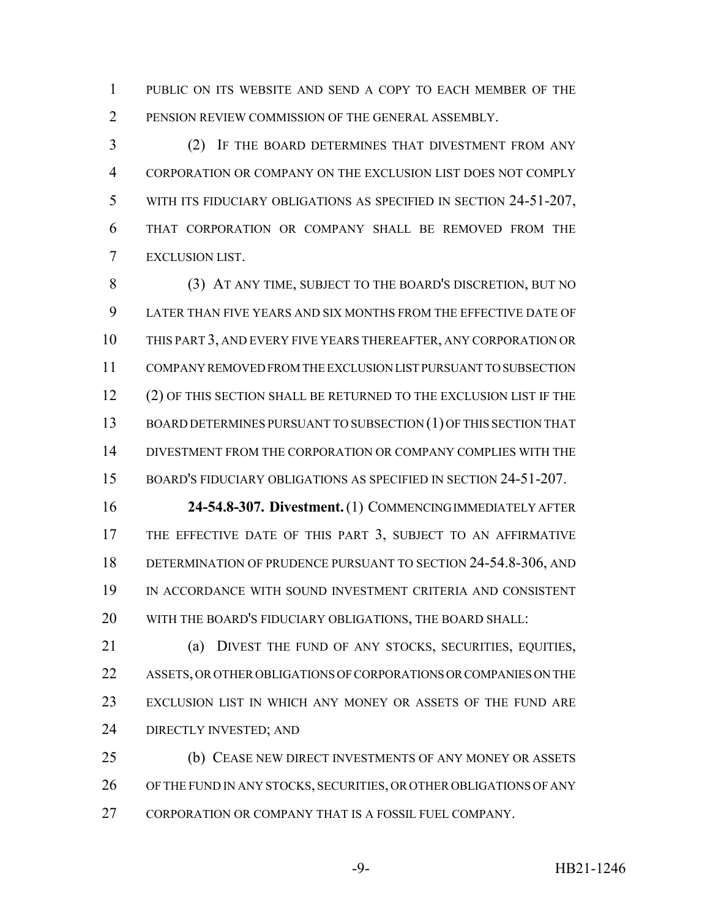PUBLIC ON ITS WEBSITE AND SEND A COPY TO EACH MEMBER OF THE PENSION REVIEW COMMISSION OF THE GENERAL ASSEMBLY.

 (2) IF THE BOARD DETERMINES THAT DIVESTMENT FROM ANY CORPORATION OR COMPANY ON THE EXCLUSION LIST DOES NOT COMPLY WITH ITS FIDUCIARY OBLIGATIONS AS SPECIFIED IN SECTION 24-51-207, THAT CORPORATION OR COMPANY SHALL BE REMOVED FROM THE EXCLUSION LIST.

 (3) AT ANY TIME, SUBJECT TO THE BOARD'S DISCRETION, BUT NO LATER THAN FIVE YEARS AND SIX MONTHS FROM THE EFFECTIVE DATE OF THIS PART 3, AND EVERY FIVE YEARS THEREAFTER, ANY CORPORATION OR COMPANY REMOVED FROM THE EXCLUSION LIST PURSUANT TO SUBSECTION 12 (2) OF THIS SECTION SHALL BE RETURNED TO THE EXCLUSION LIST IF THE BOARD DETERMINES PURSUANT TO SUBSECTION (1) OF THIS SECTION THAT DIVESTMENT FROM THE CORPORATION OR COMPANY COMPLIES WITH THE BOARD'S FIDUCIARY OBLIGATIONS AS SPECIFIED IN SECTION 24-51-207.

 **24-54.8-307. Divestment.** (1) COMMENCING IMMEDIATELY AFTER 17 THE EFFECTIVE DATE OF THIS PART 3, SUBJECT TO AN AFFIRMATIVE DETERMINATION OF PRUDENCE PURSUANT TO SECTION 24-54.8-306, AND IN ACCORDANCE WITH SOUND INVESTMENT CRITERIA AND CONSISTENT WITH THE BOARD'S FIDUCIARY OBLIGATIONS, THE BOARD SHALL:

 (a) DIVEST THE FUND OF ANY STOCKS, SECURITIES, EQUITIES, ASSETS, OR OTHER OBLIGATIONS OF CORPORATIONS OR COMPANIES ON THE EXCLUSION LIST IN WHICH ANY MONEY OR ASSETS OF THE FUND ARE DIRECTLY INVESTED; AND

 (b) CEASE NEW DIRECT INVESTMENTS OF ANY MONEY OR ASSETS OF THE FUND IN ANY STOCKS, SECURITIES, OR OTHER OBLIGATIONS OF ANY 27 CORPORATION OR COMPANY THAT IS A FOSSIL FUEL COMPANY.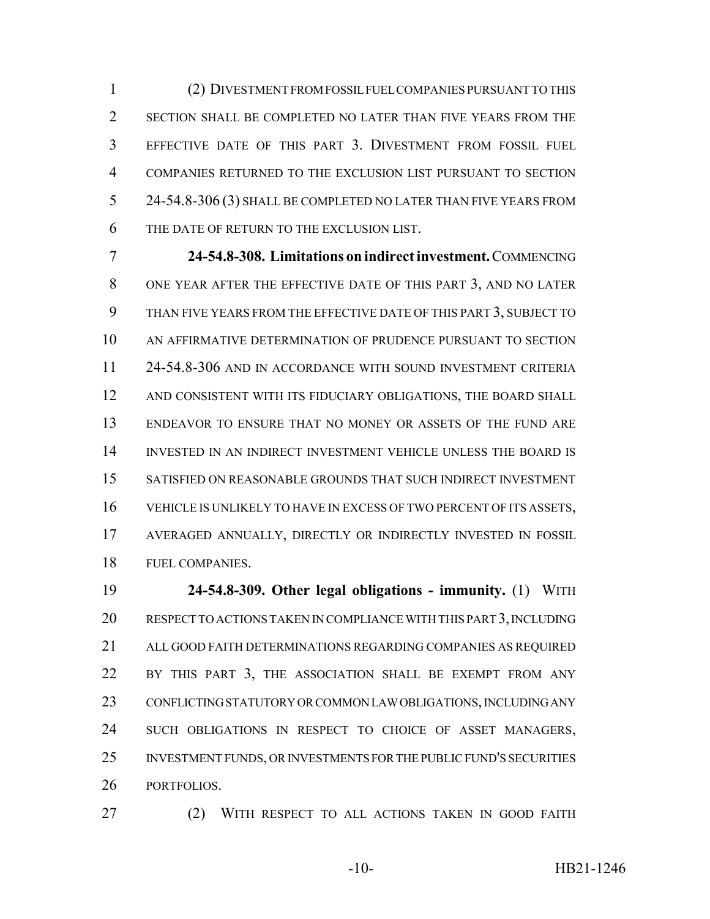(2) DIVESTMENT FROM FOSSIL FUEL COMPANIES PURSUANT TO THIS SECTION SHALL BE COMPLETED NO LATER THAN FIVE YEARS FROM THE EFFECTIVE DATE OF THIS PART 3. DIVESTMENT FROM FOSSIL FUEL COMPANIES RETURNED TO THE EXCLUSION LIST PURSUANT TO SECTION 24-54.8-306 (3) SHALL BE COMPLETED NO LATER THAN FIVE YEARS FROM THE DATE OF RETURN TO THE EXCLUSION LIST.

 **24-54.8-308. Limitations on indirect investment.** COMMENCING ONE YEAR AFTER THE EFFECTIVE DATE OF THIS PART 3, AND NO LATER THAN FIVE YEARS FROM THE EFFECTIVE DATE OF THIS PART 3, SUBJECT TO AN AFFIRMATIVE DETERMINATION OF PRUDENCE PURSUANT TO SECTION 24-54.8-306 AND IN ACCORDANCE WITH SOUND INVESTMENT CRITERIA AND CONSISTENT WITH ITS FIDUCIARY OBLIGATIONS, THE BOARD SHALL ENDEAVOR TO ENSURE THAT NO MONEY OR ASSETS OF THE FUND ARE INVESTED IN AN INDIRECT INVESTMENT VEHICLE UNLESS THE BOARD IS SATISFIED ON REASONABLE GROUNDS THAT SUCH INDIRECT INVESTMENT VEHICLE IS UNLIKELY TO HAVE IN EXCESS OF TWO PERCENT OF ITS ASSETS, AVERAGED ANNUALLY, DIRECTLY OR INDIRECTLY INVESTED IN FOSSIL FUEL COMPANIES.

 **24-54.8-309. Other legal obligations - immunity.** (1) WITH RESPECT TO ACTIONS TAKEN IN COMPLIANCE WITH THIS PART 3, INCLUDING ALL GOOD FAITH DETERMINATIONS REGARDING COMPANIES AS REQUIRED BY THIS PART 3, THE ASSOCIATION SHALL BE EXEMPT FROM ANY CONFLICTING STATUTORY OR COMMON LAW OBLIGATIONS, INCLUDING ANY SUCH OBLIGATIONS IN RESPECT TO CHOICE OF ASSET MANAGERS, INVESTMENT FUNDS, OR INVESTMENTS FOR THE PUBLIC FUND'S SECURITIES PORTFOLIOS.

(2) WITH RESPECT TO ALL ACTIONS TAKEN IN GOOD FAITH